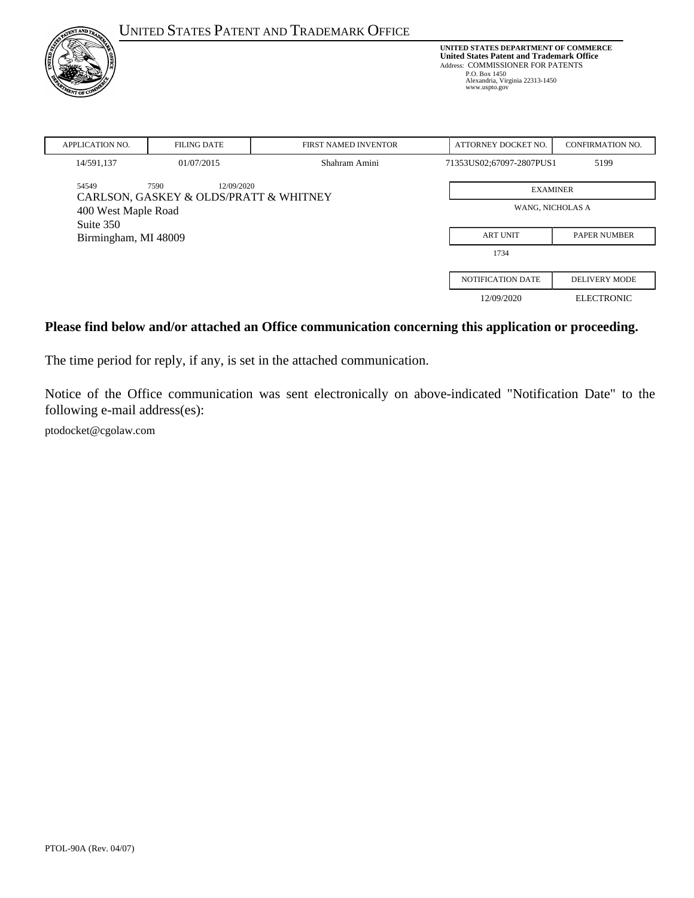| <b>UNITED STATES PATENT AND TRADEMARK OFFICE</b> |                                                              |                      | UNITED STATES DEPARTMENT OF COMMERCE<br><b>United States Patent and Trademark Office</b><br>Address: COMMISSIONER FOR PATENTS<br>P.O. Box 1450<br>Alexandria, Virginia 22313-1450<br>www.uspto.gov |                         |
|--------------------------------------------------|--------------------------------------------------------------|----------------------|----------------------------------------------------------------------------------------------------------------------------------------------------------------------------------------------------|-------------------------|
| <b>APPLICATION NO.</b>                           | <b>FILING DATE</b>                                           | FIRST NAMED INVENTOR | ATTORNEY DOCKET NO.                                                                                                                                                                                | <b>CONFIRMATION NO.</b> |
| 14/591,137                                       | 01/07/2015                                                   | Shahram Amini        | 71353US02;67097-2807PUS1                                                                                                                                                                           | 5199                    |
| 54549                                            | 7590<br>12/09/2020<br>CARLSON, GASKEY & OLDS/PRATT & WHITNEY | <b>EXAMINER</b>      |                                                                                                                                                                                                    |                         |
| 400 West Maple Road                              |                                                              | WANG, NICHOLAS A     |                                                                                                                                                                                                    |                         |
| Suite 350<br>Birmingham, MI 48009                |                                                              | <b>ART UNIT</b>      | <b>PAPER NUMBER</b>                                                                                                                                                                                |                         |
|                                                  |                                                              |                      | 1734                                                                                                                                                                                               |                         |
|                                                  |                                                              |                      | <b>NOTIFICATION DATE</b>                                                                                                                                                                           | <b>DELIVERY MODE</b>    |
|                                                  |                                                              |                      | 12/09/2020                                                                                                                                                                                         | <b>ELECTRONIC</b>       |

#### **Please find below and/or attached an Office communication concerning this application or proceeding.**

The time period for reply, if any, is set in the attached communication.

Notice of the Office communication was sent electronically on above-indicated "Notification Date" to the following e-mail address(es):

ptodocket@cgolaw.com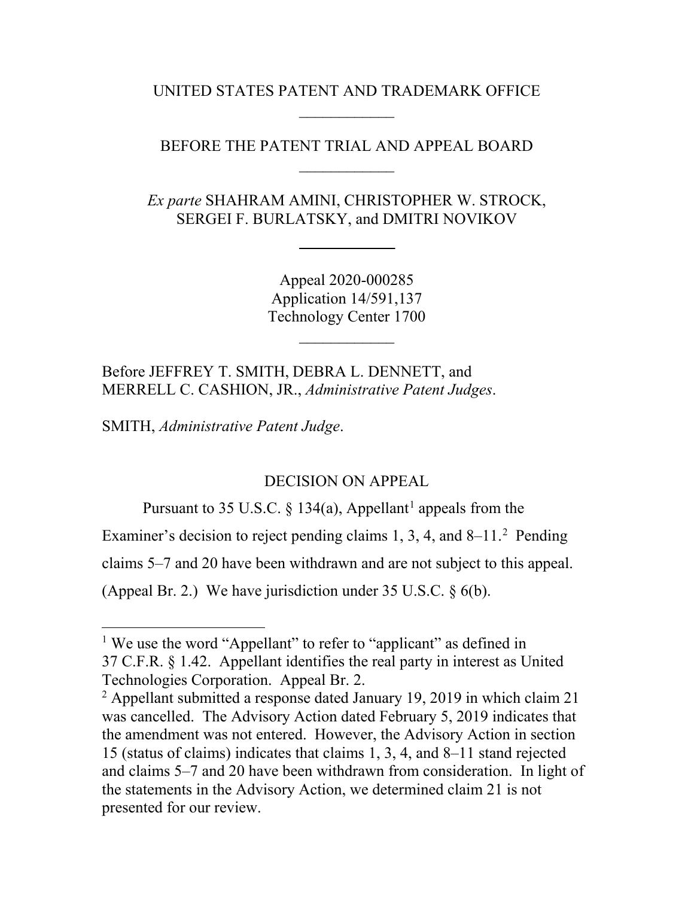UNITED STATES PATENT AND TRADEMARK OFFICE  $\mathcal{L}_\text{max}$ 

# BEFORE THE PATENT TRIAL AND APPEAL BOARD  $\mathcal{L}_\text{max}$

*Ex parte* SHAHRAM AMINI, CHRISTOPHER W. STROCK, SERGEI F. BURLATSKY, and DMITRI NOVIKOV

> Appeal 2020-000285 Application 14/591,137 Technology Center 1700

> > $\mathcal{L}_\text{max}$

Before JEFFREY T. SMITH, DEBRA L. DENNETT, and MERRELL C. CASHION, JR., *Administrative Patent Judges*.

SMITH, *Administrative Patent Judge*.

### DECISION ON APPEAL

Pursuant to 35 U.S.C. § [1](#page-1-0)34(a), Appellant<sup>1</sup> appeals from the

Examiner's decision to reject pending claims  $1, 3, 4$ , and  $8-11$ . Pending

claims 5–7 and 20 have been withdrawn and are not subject to this appeal.

(Appeal Br. 2.) We have jurisdiction under  $35 \text{ U.S.C.}$  § 6(b).

<span id="page-1-0"></span><sup>&</sup>lt;sup>1</sup> We use the word "Appellant" to refer to "applicant" as defined in 37 C.F.R. § 1.42. Appellant identifies the real party in interest as United Technologies Corporation. Appeal Br. 2.

<span id="page-1-1"></span> $2$  Appellant submitted a response dated January 19, 2019 in which claim 21 was cancelled. The Advisory Action dated February 5, 2019 indicates that the amendment was not entered. However, the Advisory Action in section 15 (status of claims) indicates that claims 1, 3, 4, and 8–11 stand rejected and claims 5–7 and 20 have been withdrawn from consideration. In light of the statements in the Advisory Action, we determined claim 21 is not presented for our review.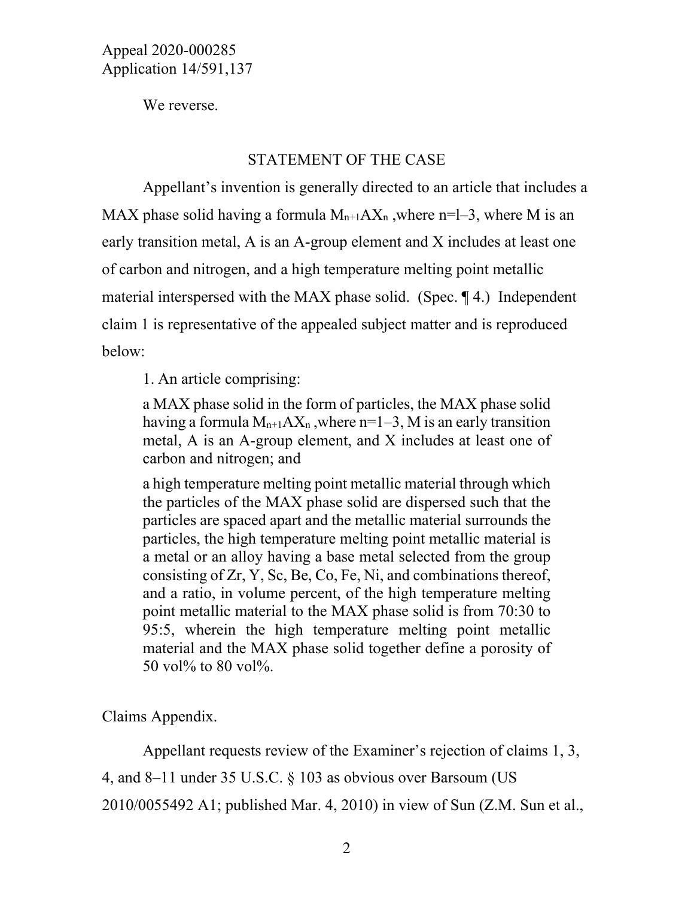We reverse.

#### STATEMENT OF THE CASE

Appellant's invention is generally directed to an article that includes a MAX phase solid having a formula  $M_{n+1}AX_n$ , where n=l-3, where M is an early transition metal, A is an A-group element and X includes at least one of carbon and nitrogen, and a high temperature melting point metallic material interspersed with the MAX phase solid. (Spec. ¶ 4.) Independent claim 1 is representative of the appealed subject matter and is reproduced below:

1. An article comprising:

a MAX phase solid in the form of particles, the MAX phase solid having a formula  $M_{n+1}AX_n$ , where  $n=1-3$ , M is an early transition metal, A is an A-group element, and X includes at least one of carbon and nitrogen; and

a high temperature melting point metallic material through which the particles of the MAX phase solid are dispersed such that the particles are spaced apart and the metallic material surrounds the particles, the high temperature melting point metallic material is a metal or an alloy having a base metal selected from the group consisting of Zr, Y, Sc, Be, Co, Fe, Ni, and combinations thereof, and a ratio, in volume percent, of the high temperature melting point metallic material to the MAX phase solid is from 70:30 to 95:5, wherein the high temperature melting point metallic material and the MAX phase solid together define a porosity of 50 vol% to 80 vol%.

Claims Appendix.

Appellant requests review of the Examiner's rejection of claims 1, 3,

4, and 8–11 under 35 U.S.C. § 103 as obvious over Barsoum (US

2010/0055492 A1; published Mar. 4, 2010) in view of Sun (Z.M. Sun et al.,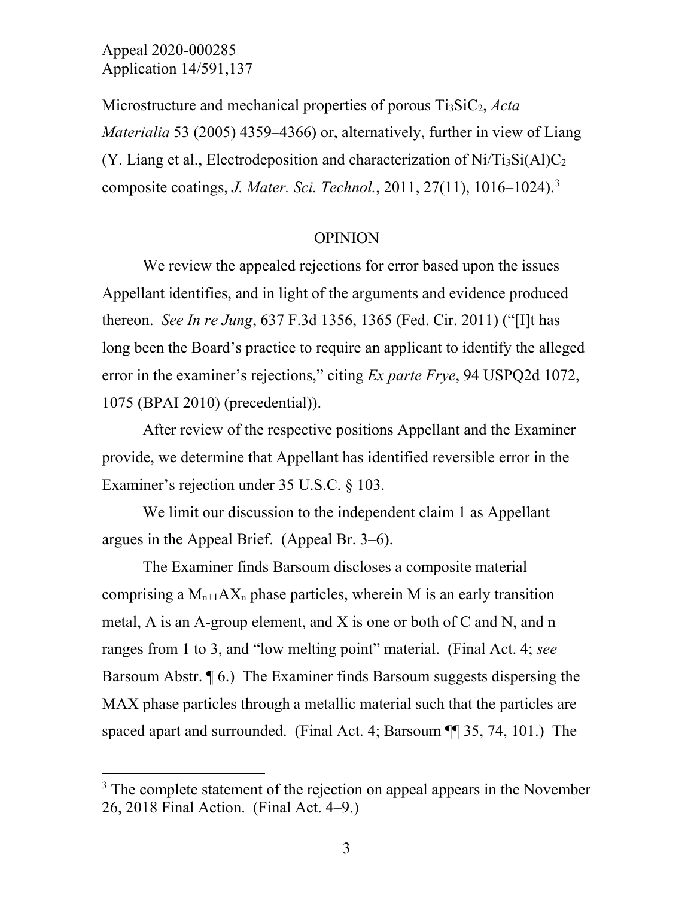Microstructure and mechanical properties of porous Ti3SiC2, *Acta Materialia* 53 (2005) 4359–4366) or, alternatively, further in view of Liang (Y. Liang et al., Electrodeposition and characterization of  $Ni/Ti_3Si(A)C_2$ composite coatings, *J. Mater. Sci. Technol.*, 2011, 27(11), 1016–1024). [3](#page-3-0)

#### OPINION

We review the appealed rejections for error based upon the issues Appellant identifies, and in light of the arguments and evidence produced thereon. *See In re Jung*, 637 F.3d 1356, 1365 (Fed. Cir. 2011) ("[I]t has long been the Board's practice to require an applicant to identify the alleged error in the examiner's rejections," citing *Ex parte Frye*, 94 USPQ2d 1072, 1075 (BPAI 2010) (precedential)).

After review of the respective positions Appellant and the Examiner provide, we determine that Appellant has identified reversible error in the Examiner's rejection under 35 U.S.C. § 103.

We limit our discussion to the independent claim 1 as Appellant argues in the Appeal Brief. (Appeal Br. 3–6).

The Examiner finds Barsoum discloses a composite material comprising a  $M_{n+1}AX_n$  phase particles, wherein M is an early transition metal, A is an A-group element, and X is one or both of C and N, and n ranges from 1 to 3, and "low melting point" material. (Final Act. 4; *see* Barsoum Abstr. ¶ 6.) The Examiner finds Barsoum suggests dispersing the MAX phase particles through a metallic material such that the particles are spaced apart and surrounded. (Final Act. 4; Barsoum ¶[ 35, 74, 101.) The

<span id="page-3-0"></span> $3$  The complete statement of the rejection on appeal appears in the November 26, 2018 Final Action. (Final Act. 4–9.)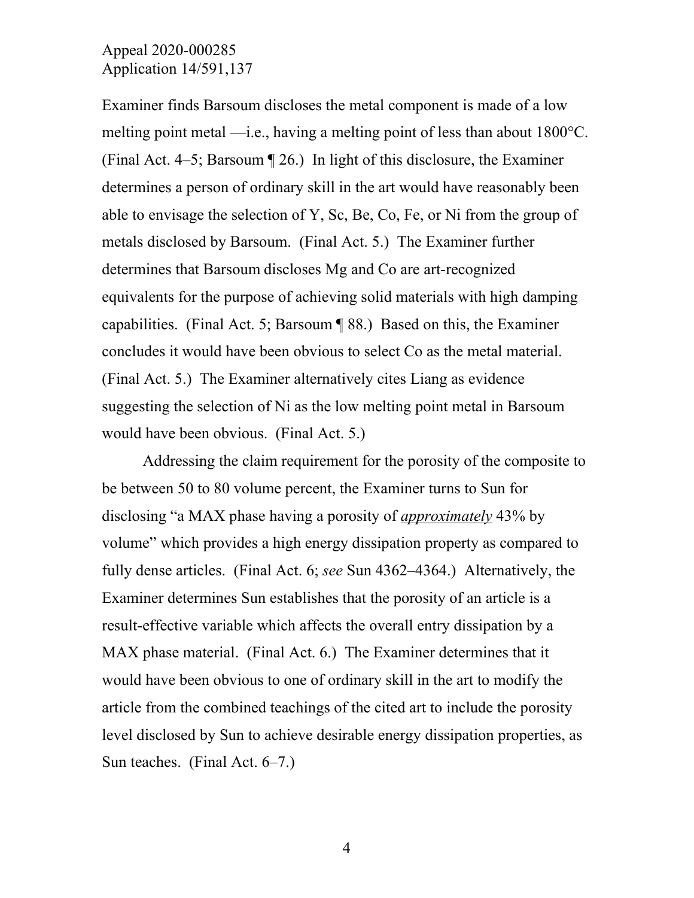Examiner finds Barsoum discloses the metal component is made of a low melting point metal —i.e., having a melting point of less than about 1800°C. (Final Act. 4–5; Barsoum ¶ 26.) In light of this disclosure, the Examiner determines a person of ordinary skill in the art would have reasonably been able to envisage the selection of Y, Sc, Be, Co, Fe, or Ni from the group of metals disclosed by Barsoum. (Final Act. 5.) The Examiner further determines that Barsoum discloses Mg and Co are art-recognized equivalents for the purpose of achieving solid materials with high damping capabilities. (Final Act. 5; Barsoum ¶ 88.) Based on this, the Examiner concludes it would have been obvious to select Co as the metal material. (Final Act. 5.) The Examiner alternatively cites Liang as evidence suggesting the selection of Ni as the low melting point metal in Barsoum would have been obvious. (Final Act. 5.)

Addressing the claim requirement for the porosity of the composite to be between 50 to 80 volume percent, the Examiner turns to Sun for disclosing "a MAX phase having a porosity of *approximately* 43% by volume" which provides a high energy dissipation property as compared to fully dense articles. (Final Act. 6; *see* Sun 4362–4364.) Alternatively, the Examiner determines Sun establishes that the porosity of an article is a result-effective variable which affects the overall entry dissipation by a MAX phase material. (Final Act. 6.) The Examiner determines that it would have been obvious to one of ordinary skill in the art to modify the article from the combined teachings of the cited art to include the porosity level disclosed by Sun to achieve desirable energy dissipation properties, as Sun teaches. (Final Act. 6–7.)

4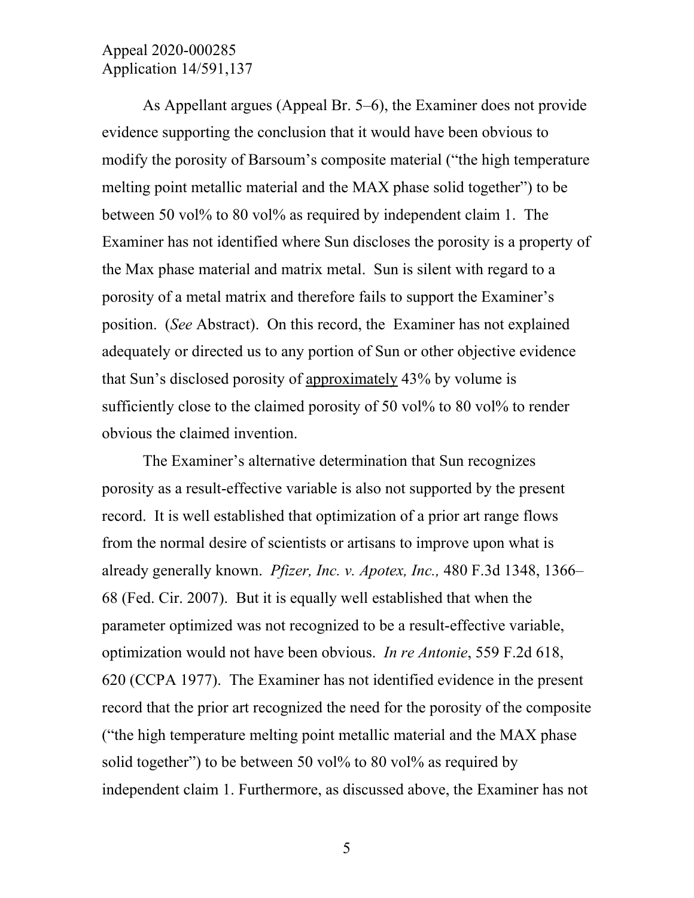As Appellant argues (Appeal Br. 5–6), the Examiner does not provide evidence supporting the conclusion that it would have been obvious to modify the porosity of Barsoum's composite material ("the high temperature melting point metallic material and the MAX phase solid together") to be between 50 vol% to 80 vol% as required by independent claim 1. The Examiner has not identified where Sun discloses the porosity is a property of the Max phase material and matrix metal. Sun is silent with regard to a porosity of a metal matrix and therefore fails to support the Examiner's position. (*See* Abstract). On this record, the Examiner has not explained adequately or directed us to any portion of Sun or other objective evidence that Sun's disclosed porosity of approximately 43% by volume is sufficiently close to the claimed porosity of 50 vol% to 80 vol% to render obvious the claimed invention.

The Examiner's alternative determination that Sun recognizes porosity as a result-effective variable is also not supported by the present record. It is well established that optimization of a prior art range flows from the normal desire of scientists or artisans to improve upon what is already generally known. *Pfizer, Inc. v. Apotex, Inc.,* 480 F.3d 1348, 1366– 68 (Fed. Cir. 2007). But it is equally well established that when the parameter optimized was not recognized to be a result-effective variable, optimization would not have been obvious. *In re Antonie*, 559 F.2d 618, 620 (CCPA 1977). The Examiner has not identified evidence in the present record that the prior art recognized the need for the porosity of the composite ("the high temperature melting point metallic material and the MAX phase solid together") to be between 50 vol% to 80 vol% as required by independent claim 1. Furthermore, as discussed above, the Examiner has not

5